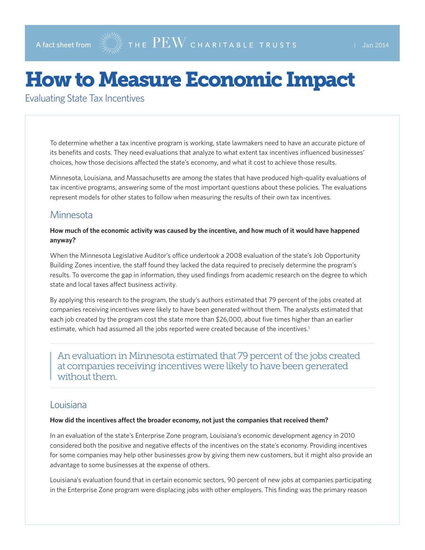# How to Measure Economic Impact

Evaluating State Tax Incentives

To determine whether a tax incentive program is working, state lawmakers need to have an accurate picture of its benefits and costs. They need evaluations that analyze to what extent tax incentives influenced businesses' choices, how those decisions affected the state's economy, and what it cost to achieve those results.

Minnesota, Louisiana, and Massachusetts are among the states that have produced high-quality evaluations of tax incentive programs, answering some of the most important questions about these policies. The evaluations represent models for other states to follow when measuring the results of their own tax incentives.

## **Minnesota**

#### **How much of the economic activity was caused by the incentive, and how much of it would have happened anyway?**

When the Minnesota Legislative Auditor's office undertook a 2008 evaluation of the state's Job Opportunity Building Zones incentive, the staff found they lacked the data required to precisely determine the program's results. To overcome the gap in information, they used findings from academic research on the degree to which state and local taxes affect business activity.

By applying this research to the program, the study's authors estimated that 79 percent of the jobs created at companies receiving incentives were likely to have been generated without them. The analysts estimated that each job created by the program cost the state more than \$26,000, about five times higher than an earlier estimate, which had assumed all the jobs reported were created because of the incentives.<sup>1</sup>

An evaluation in Minnesota estimated that 79 percent of the jobs created at companies receiving incentives were likely to have been generated without them.

## Louisiana

#### **How did the incentives affect the broader economy, not just the companies that received them?**

In an evaluation of the state's Enterprise Zone program, Louisiana's economic development agency in 2010 considered both the positive and negative effects of the incentives on the state's economy. Providing incentives for some companies may help other businesses grow by giving them new customers, but it might also provide an advantage to some businesses at the expense of others.

Louisiana's evaluation found that in certain economic sectors, 90 percent of new jobs at companies participating in the Enterprise Zone program were displacing jobs with other employers. This finding was the primary reason